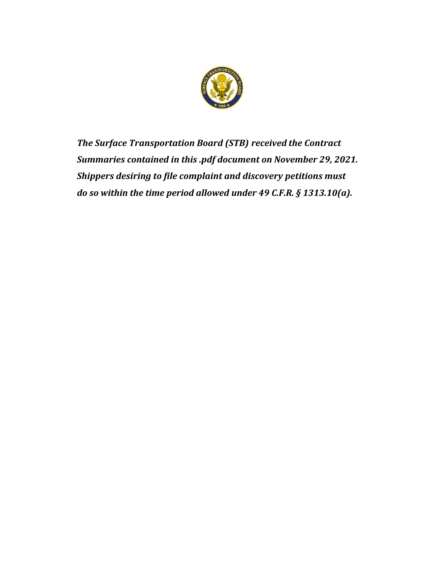

*The Surface Transportation Board (STB) received the Contract Summaries contained in this .pdf document on November 29, 2021. Shippers desiring to file complaint and discovery petitions must do so within the time period allowed under 49 C.F.R. § 1313.10(a).*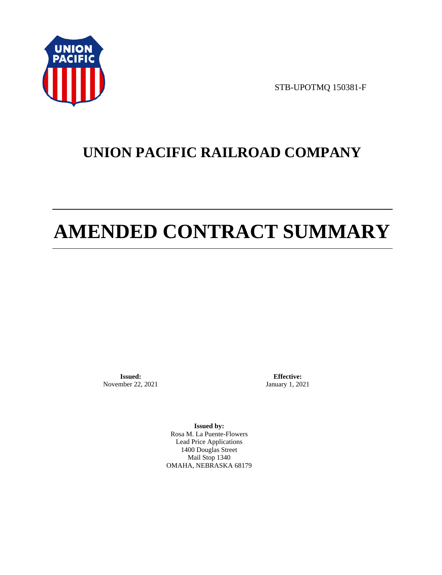

STB-UPOTMQ 150381-F

# **UNION PACIFIC RAILROAD COMPANY**

# **AMENDED CONTRACT SUMMARY**

**Issued:**  November 22, 2021

**Effective:** January 1, 2021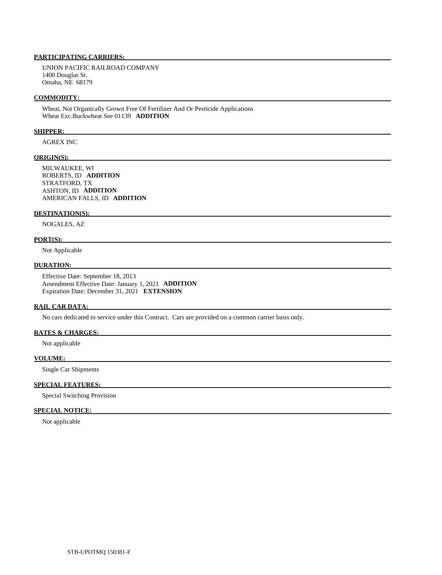UNION PACIFIC RAILROAD COMPANY 1400 Douglas St. Omaha, NE 68179

#### **COMMODITY:**

 Wheat, Not Organically Grown Free Of Fertilizer And Or Pesticide Applications Wheat Exc.Buckwheat See 01139 **ADDITION** 

#### **SHIPPER:**

AGREX INC

#### **ORIGIN(S):**

 MILWAUKEE, WI ROBERTS, ID **ADDITION**  STRATFORD, TX ASHTON, ID **ADDITION**  AMERICAN FALLS, ID **ADDITION** 

## **DESTINATION(S):**

NOGALES, AZ

#### **PORT(S):**

Not Applicable

#### **DURATION:**

 Effective Date: September 18, 2013 Amendment Effective Date: January 1, 2021 **ADDITION**  Expiration Date: December 31, 2021 **EXTENSION** 

#### **RAIL CAR DATA:**

No cars dedicated to service under this Contract. Cars are provided on a common carrier basis only.

## **RATES & CHARGES:**

Not applicable

#### **VOLUME:**

Single Car Shipments

## **SPECIAL FEATURES:**

Special Switching Provision

## **SPECIAL NOTICE:**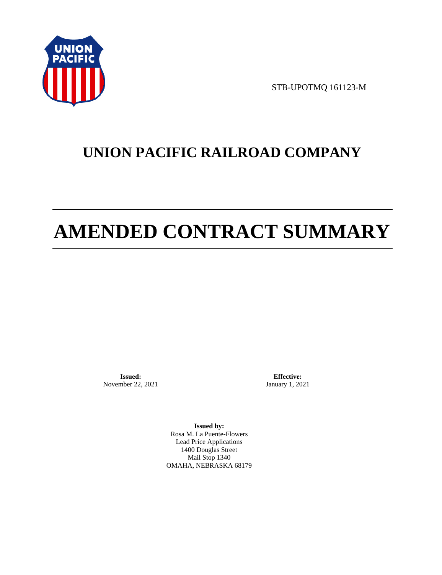

STB-UPOTMQ 161123-M

# **UNION PACIFIC RAILROAD COMPANY**

# **AMENDED CONTRACT SUMMARY**

**Issued:**  November 22, 2021

**Effective:** January 1, 2021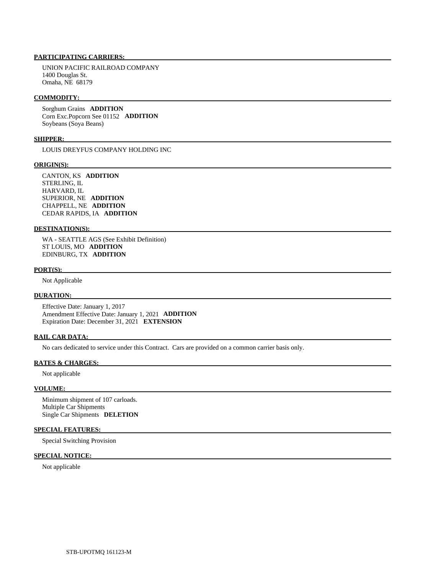UNION PACIFIC RAILROAD COMPANY 1400 Douglas St. Omaha, NE 68179

#### **COMMODITY:**

 Sorghum Grains **ADDITION**  Corn Exc.Popcorn See 01152 **ADDITION**  Soybeans (Soya Beans)

#### **SHIPPER:**

LOUIS DREYFUS COMPANY HOLDING INC

#### **ORIGIN(S):**

 CANTON, KS **ADDITION**  STERLING, IL HARVARD, IL SUPERIOR, NE **ADDITION**  CHAPPELL, NE **ADDITION**  CEDAR RAPIDS, IA **ADDITION** 

# **DESTINATION(S):**

 WA - SEATTLE AGS (See Exhibit Definition) ST LOUIS, MO **ADDITION**  EDINBURG, TX **ADDITION** 

#### **PORT(S):**

Not Applicable

# **DURATION:**

 Effective Date: January 1, 2017 Amendment Effective Date: January 1, 2021 **ADDITION**  Expiration Date: December 31, 2021 **EXTENSION** 

#### **RAIL CAR DATA:**

No cars dedicated to service under this Contract. Cars are provided on a common carrier basis only.

#### **RATES & CHARGES:**

Not applicable

### **VOLUME:**

 Minimum shipment of 107 carloads. Multiple Car Shipments Single Car Shipments **DELETION** 

## **SPECIAL FEATURES:**

Special Switching Provision

#### **SPECIAL NOTICE:**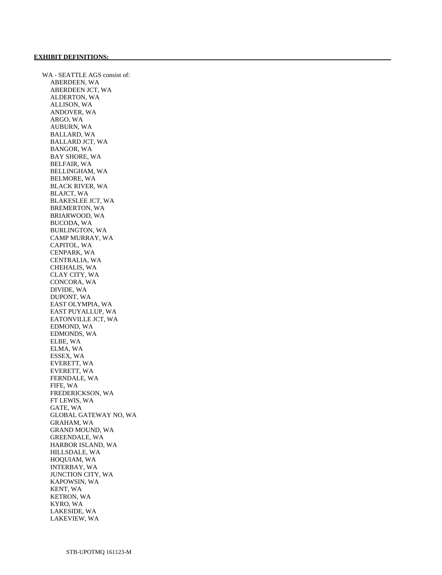WA - SEATTLE AGS consist of: ABERDEEN, WA ABERDEEN JCT, WA ALDERTON, WA ALLISON, WA ANDOVER, WA ARGO, WA AUBURN, WA BALLARD, WA BALLARD JCT, WA BANGOR, WA BAY SHORE, WA BELFAIR, WA BELLINGHAM, WA BELMORE, WA BLACK RIVER, WA BLAJCT, WA BLAKESLEE JCT, WA BREMERTON, WA BRIARWOOD, WA BUCODA, WA BURLINGTON, WA CAMP MURRAY, WA CAPITOL, WA CENPARK, WA CENTRALIA, WA CHEHALIS, WA CLAY CITY, WA CONCORA, WA DIVIDE, WA DUPONT, WA EAST OLYMPIA, WA EAST PUYALLUP, WA EATONVILLE JCT, WA EDMOND, WA EDMONDS, WA ELBE, WA ELMA, WA ESSEX, WA EVERETT, WA EVERETT, WA FERNDALE, WA FIFE, WA FREDERICKSON, WA FT LEWIS, WA GATE, WA GLOBAL GATEWAY NO, WA GRAHAM, WA GRAND MOUND, WA GREENDALE, WA HARBOR ISLAND, WA HILLSDALE, WA HOQUIAM, WA INTERBAY, WA JUNCTION CITY, WA KAPOWSIN, WA KENT, WA KETRON, WA KYRO, WA LAKESIDE, WA LAKEVIEW, WA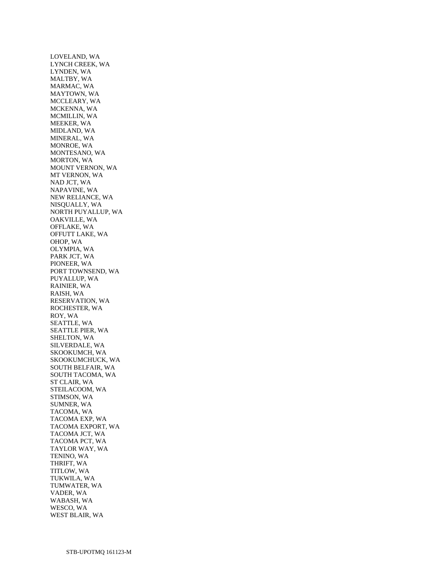LOVELAND, WA LYNCH CREEK, WA LYNDEN, WA MALTBY, WA MARMAC, WA MAYTOWN, WA MCCLEARY, WA MCKENNA, WA MCMILLIN, WA MEEKER, WA MIDLAND, WA MINERAL, WA MONROE, WA MONTESANO, WA MORTON, WA MOUNT VERNON, WA MT VERNON, WA NAD JCT, WA NAPAVINE, WA NEW RELIANCE, WA NISQUALLY, WA NORTH PUYALLUP, WA OAKVILLE, WA OFFLAKE, WA OFFUTT LAKE, WA OHOP, WA OLYMPIA, WA PARK JCT, WA PIONEER, WA PORT TOWNSEND, WA PUYALLUP, WA RAINIER, WA RAISH, WA RESERVATION, WA ROCHESTER, WA ROY, WA SEATTLE, WA SEATTLE PIER, WA SHELTON, WA SILVERDALE, WA SKOOKUMCH, WA SKOOKUMCHUCK, WA SOUTH BELFAIR, WA SOUTH TACOMA, WA ST CLAIR, WA STEILACOOM, WA STIMSON, WA SUMNER, WA TACOMA, WA TACOMA EXP, WA TACOMA EXPORT, WA TACOMA JCT, WA TACOMA PCT, WA TAYLOR WAY, WA TENINO, WA THRIFT, WA TITLOW, WA TUKWILA, WA TUMWATER, WA VADER, WA WABASH, WA WESCO, WA WEST BLAIR, WA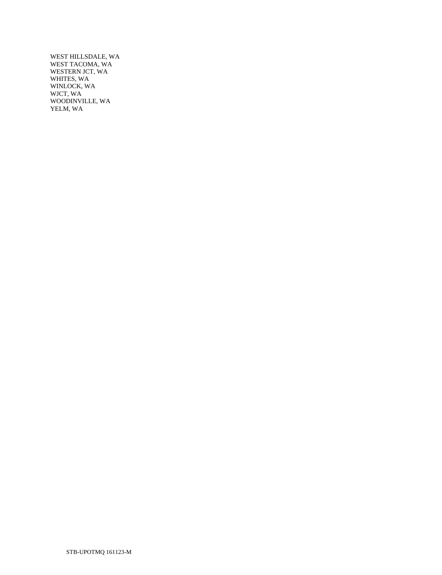WEST HILLSDALE, WA WEST TACOMA, WA WESTERN JCT, WA WHITES, WA WINLOCK, WA WJCT, WA WOODINVILLE, WA YELM, WA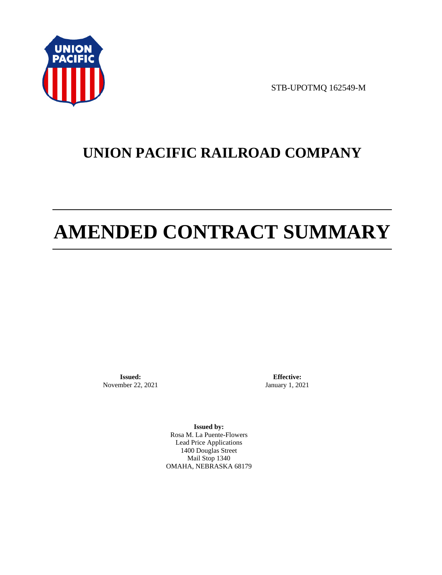

STB-UPOTMQ 162549-M

# **UNION PACIFIC RAILROAD COMPANY**

# **AMENDED CONTRACT SUMMARY**

**Issued:**  November 22, 2021

**Effective:** January 1, 2021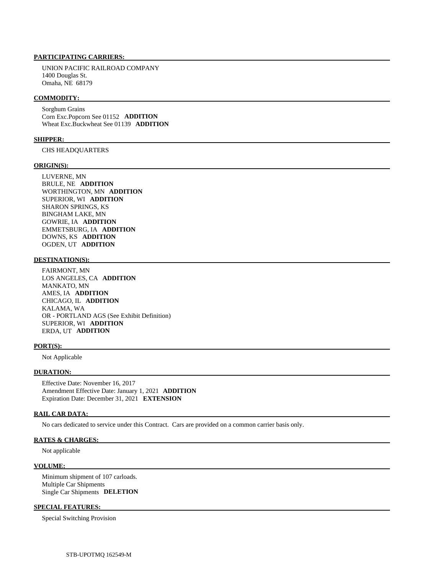UNION PACIFIC RAILROAD COMPANY 1400 Douglas St. Omaha, NE 68179

### **COMMODITY:**

 Sorghum Grains Corn Exc.Popcorn See 01152 **ADDITION**  Wheat Exc.Buckwheat See 01139 **ADDITION** 

#### **SHIPPER:**

CHS HEADQUARTERS

#### **ORIGIN(S):**

 LUVERNE, MN BRULE, NE **ADDITION**  WORTHINGTON, MN **ADDITION**  SUPERIOR, WI **ADDITION**  SHARON SPRINGS, KS BINGHAM LAKE, MN GOWRIE, IA **ADDITION**  EMMETSBURG, IA **ADDITION**  DOWNS, KS **ADDITION**  OGDEN, UT **ADDITION** 

#### **DESTINATION(S):**

 FAIRMONT, MN LOS ANGELES, CA **ADDITION**  MANKATO, MN AMES, IA **ADDITION**  CHICAGO, IL **ADDITION**  KALAMA, WA OR - PORTLAND AGS (See Exhibit Definition) SUPERIOR, WI **ADDITION**  ERDA, UT **ADDITION** 

#### **PORT(S):**

Not Applicable

#### **DURATION:**

 Effective Date: November 16, 2017 Amendment Effective Date: January 1, 2021 **ADDITION**  Expiration Date: December 31, 2021 **EXTENSION** 

#### **RAIL CAR DATA:**

No cars dedicated to service under this Contract. Cars are provided on a common carrier basis only.

#### **RATES & CHARGES:**

Not applicable

#### **VOLUME:**

 Minimum shipment of 107 carloads. Multiple Car Shipments Single Car Shipments **DELETION** 

#### **SPECIAL FEATURES:**

Special Switching Provision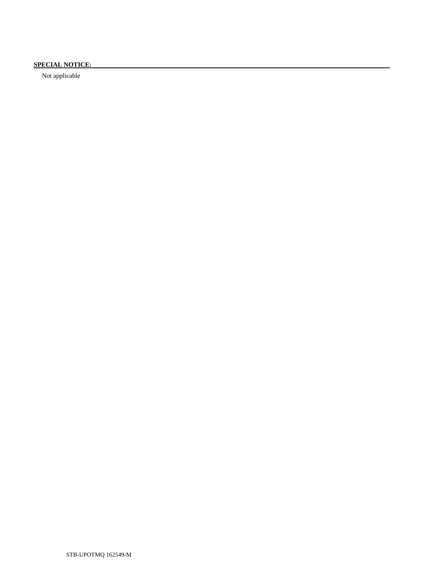# **SPECIAL NOTICE:**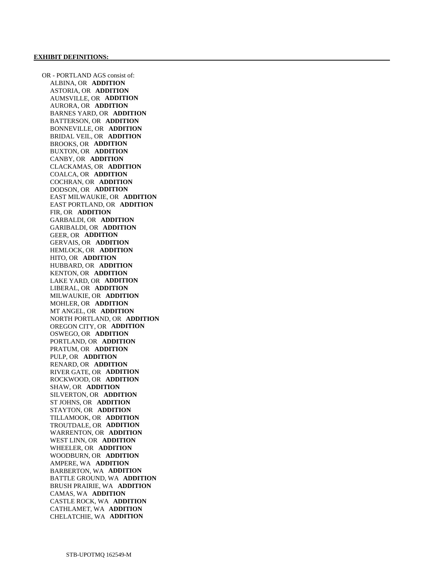OR - PORTLAND AGS consist of: ALBINA, OR **ADDITION**  ASTORIA, OR **ADDITION**  AUMSVILLE, OR **ADDITION**  AURORA, OR **ADDITION**  BARNES YARD, OR **ADDITION**  BATTERSON, OR **ADDITION**  BONNEVILLE, OR **ADDITION**  BRIDAL VEIL, OR **ADDITION**  BROOKS, OR **ADDITION**  BUXTON, OR **ADDITION**  CANBY, OR **ADDITION**  CLACKAMAS, OR **ADDITION**  COALCA, OR **ADDITION**  COCHRAN, OR **ADDITION**  DODSON, OR **ADDITION**  EAST MILWAUKIE, OR **ADDITION**  EAST PORTLAND, OR **ADDITION**  FIR, OR **ADDITION**  GARBALDI, OR **ADDITION**  GARIBALDI, OR **ADDITION**  GEER, OR **ADDITION**  GERVAIS, OR **ADDITION**  HEMLOCK, OR **ADDITION**  HITO, OR **ADDITION**  HUBBARD, OR **ADDITION**  KENTON, OR **ADDITION**  LAKE YARD, OR **ADDITION**  LIBERAL, OR **ADDITION**  MILWAUKIE, OR **ADDITION**  MOHLER, OR **ADDITION**  MT ANGEL, OR **ADDITION**  NORTH PORTLAND, OR **ADDITION**  OREGON CITY, OR **ADDITION**  OSWEGO, OR **ADDITION**  PORTLAND, OR **ADDITION**  PRATUM, OR **ADDITION**  PULP, OR **ADDITION**  RENARD, OR **ADDITION**  RIVER GATE, OR **ADDITION**  ROCKWOOD, OR **ADDITION**  SHAW, OR **ADDITION**  SILVERTON, OR **ADDITION**  ST JOHNS, OR **ADDITION**  STAYTON, OR **ADDITION**  TILLAMOOK, OR **ADDITION**  TROUTDALE, OR **ADDITION**  WARRENTON, OR **ADDITION**  WEST LINN, OR **ADDITION**  WHEELER, OR **ADDITION**  WOODBURN, OR **ADDITION**  AMPERE, WA **ADDITION**  BARBERTON, WA **ADDITION**  BATTLE GROUND, WA **ADDITION**  BRUSH PRAIRIE, WA **ADDITION**  CAMAS, WA **ADDITION**  CASTLE ROCK, WA **ADDITION**  CATHLAMET, WA **ADDITION**  CHELATCHIE, WA **ADDITION**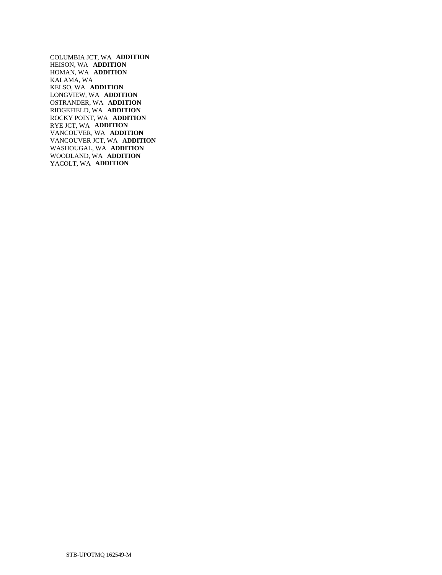COLUMBIA JCT, WA **ADDITION**  HEISON, WA **ADDITION**  HOMAN, WA **ADDITION**  KALAMA, WA KELSO, WA **ADDITION**  LONGVIEW, WA **ADDITION**  OSTRANDER, WA **ADDITION**  RIDGEFIELD, WA **ADDITION**  ROCKY POINT, WA **ADDITION**  RYE JCT, WA **ADDITION**  VANCOUVER, WA **ADDITION**  VANCOUVER JCT, WA **ADDITION**  WASHOUGAL, WA **ADDITION**  WOODLAND, WA **ADDITION**  YACOLT, WA **ADDITION**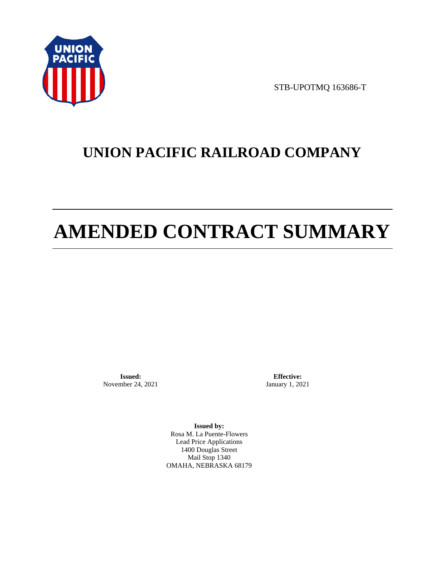

STB-UPOTMQ 163686-T

# **UNION PACIFIC RAILROAD COMPANY**

# **AMENDED CONTRACT SUMMARY**

**Issued:**  November 24, 2021

**Effective:** January 1, 2021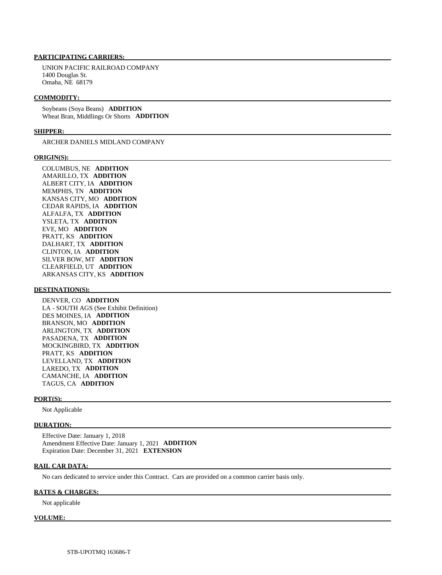UNION PACIFIC RAILROAD COMPANY 1400 Douglas St. Omaha, NE 68179

#### **COMMODITY:**

 Soybeans (Soya Beans) **ADDITION**  Wheat Bran, Middlings Or Shorts **ADDITION** 

#### **SHIPPER:**

ARCHER DANIELS MIDLAND COMPANY

#### **ORIGIN(S):**

 COLUMBUS, NE **ADDITION**  AMARILLO, TX **ADDITION**  ALBERT CITY, IA **ADDITION**  MEMPHIS, TN **ADDITION**  KANSAS CITY, MO **ADDITION**  CEDAR RAPIDS, IA **ADDITION**  ALFALFA, TX **ADDITION**  YSLETA, TX **ADDITION**  EVE, MO **ADDITION**  PRATT, KS **ADDITION**  DALHART, TX **ADDITION**  CLINTON, IA **ADDITION**  SILVER BOW, MT **ADDITION**  CLEARFIELD, UT **ADDITION**  ARKANSAS CITY, KS **ADDITION** 

#### **DESTINATION(S):**

 DENVER, CO **ADDITION**  LA - SOUTH AGS (See Exhibit Definition) DES MOINES, IA **ADDITION**  BRANSON, MO **ADDITION**  ARLINGTON, TX **ADDITION**  PASADENA, TX **ADDITION**  MOCKINGBIRD, TX **ADDITION**  PRATT, KS **ADDITION**  LEVELLAND, TX **ADDITION**  LAREDO, TX **ADDITION**  CAMANCHE, IA **ADDITION**  TAGUS, CA **ADDITION** 

#### **PORT(S):**

Not Applicable

#### **DURATION:**

 Effective Date: January 1, 2018 Amendment Effective Date: January 1, 2021 **ADDITION**  Expiration Date: December 31, 2021 **EXTENSION** 

#### **RAIL CAR DATA:**

No cars dedicated to service under this Contract. Cars are provided on a common carrier basis only.

#### **RATES & CHARGES:**

Not applicable

#### **VOLUME:**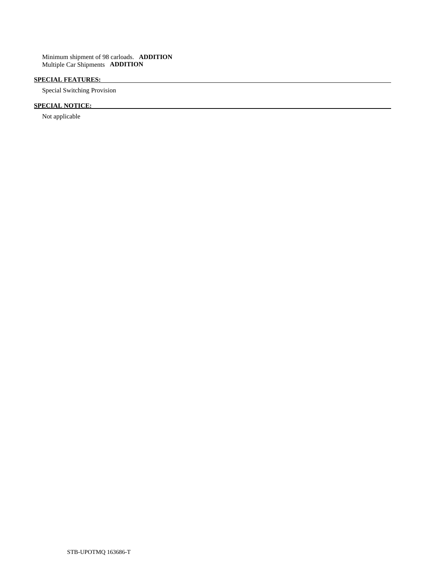Minimum shipment of 98 carloads. **ADDITION**  Multiple Car Shipments **ADDITION** 

# **SPECIAL FEATURES:**

Special Switching Provision

# **SPECIAL NOTICE:**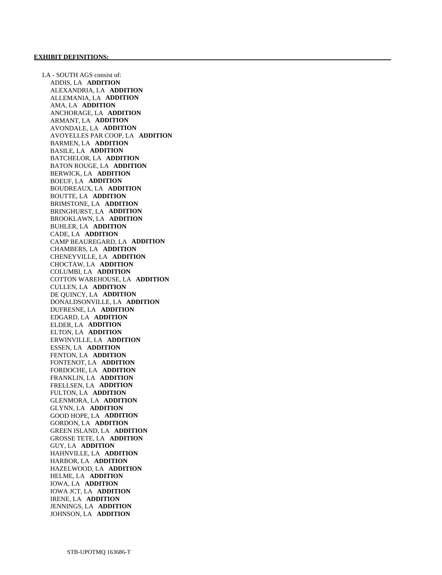LA - SOUTH AGS consist of: ADDIS, LA **ADDITION**  ALEXANDRIA, LA **ADDITION**  ALLEMANIA, LA **ADDITION**  AMA, LA **ADDITION**  ANCHORAGE, LA **ADDITION**  ARMANT, LA **ADDITION**  AVONDALE, LA **ADDITION**  AVOYELLES PAR COOP, LA **ADDITION**  BARMEN, LA **ADDITION**  BASILE, LA **ADDITION**  BATCHELOR, LA **ADDITION**  BATON ROUGE, LA **ADDITION**  BERWICK, LA **ADDITION**  BOEUF, LA **ADDITION**  BOUDREAUX, LA **ADDITION**  BOUTTE, LA **ADDITION**  BRIMSTONE, LA **ADDITION**  BRINGHURST, LA **ADDITION**  BROOKLAWN, LA **ADDITION**  BUHLER, LA **ADDITION**  CADE, LA **ADDITION**  CAMP BEAUREGARD, LA **ADDITION**  CHAMBERS, LA **ADDITION**  CHENEYVILLE, LA **ADDITION**  CHOCTAW, LA **ADDITION**  COLUMBI, LA **ADDITION**  COTTON WAREHOUSE, LA **ADDITION**  CULLEN, LA **ADDITION**  DE QUINCY, LA **ADDITION**  DONALDSONVILLE, LA **ADDITION**  DUFRESNE, LA **ADDITION**  EDGARD, LA **ADDITION**  ELDER, LA **ADDITION**  ELTON, LA **ADDITION**  ERWINVILLE, LA **ADDITION**  ESSEN, LA **ADDITION**  FENTON, LA **ADDITION**  FONTENOT, LA **ADDITION**  FORDOCHE, LA **ADDITION**  FRANKLIN, LA **ADDITION**  FRELLSEN, LA **ADDITION**  FULTON, LA **ADDITION**  GLENMORA, LA **ADDITION**  GLYNN, LA **ADDITION**  GOOD HOPE, LA **ADDITION**  GORDON, LA **ADDITION**  GREEN ISLAND, LA **ADDITION**  GROSSE TETE, LA **ADDITION**  GUY, LA **ADDITION**  HAHNVILLE, LA **ADDITION**  HARBOR, LA **ADDITION**  HAZELWOOD, LA **ADDITION**  HELME, LA **ADDITION**  IOWA, LA **ADDITION**  IOWA JCT, LA **ADDITION**  IRENE, LA **ADDITION**  JENNINGS, LA **ADDITION**  JOHNSON, LA **ADDITION**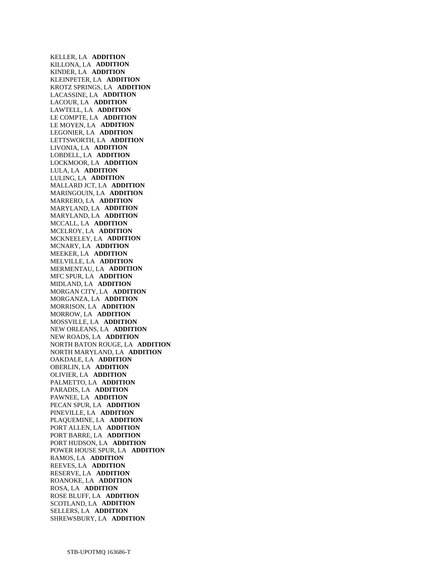KELLER, LA **ADDITION**  KILLONA, LA **ADDITION**  KINDER, LA **ADDITION**  KLEINPETER, LA **ADDITION**  KROTZ SPRINGS, LA **ADDITION**  LACASSINE, LA **ADDITION**  LACOUR, LA **ADDITION**  LAWTELL, LA **ADDITION**  LE COMPTE, LA **ADDITION**  LE MOYEN, LA **ADDITION**  LEGONIER, LA **ADDITION**  LETTSWORTH, LA **ADDITION**  LIVONIA, LA **ADDITION**  LOBDELL, LA **ADDITION**  LOCKMOOR, LA **ADDITION**  LULA, LA **ADDITION**  LULING, LA **ADDITION**  MALLARD JCT, LA **ADDITION**  MARINGOUIN, LA **ADDITION**  MARRERO, LA **ADDITION**  MARYLAND, LA **ADDITION**  MARYLAND, LA **ADDITION**  MCCALL, LA **ADDITION**  MCELROY, LA **ADDITION**  MCKNEELEY, LA **ADDITION**  MCNARY, LA **ADDITION**  MEEKER, LA **ADDITION**  MELVILLE, LA **ADDITION**  MERMENTAU, LA **ADDITION**  MFC SPUR, LA **ADDITION**  MIDLAND, LA **ADDITION**  MORGAN CITY, LA **ADDITION**  MORGANZA, LA **ADDITION**  MORRISON, LA **ADDITION**  MORROW, LA **ADDITION**  MOSSVILLE, LA **ADDITION**  NEW ORLEANS, LA **ADDITION**  NEW ROADS, LA **ADDITION**  NORTH BATON ROUGE, LA **ADDITION**  NORTH MARYLAND, LA **ADDITION**  OAKDALE, LA **ADDITION**  OBERLIN, LA **ADDITION**  OLIVIER, LA **ADDITION**  PALMETTO, LA **ADDITION**  PARADIS, LA **ADDITION**  PAWNEE, LA **ADDITION**  PECAN SPUR, LA **ADDITION**  PINEVILLE, LA **ADDITION**  PLAQUEMINE, LA **ADDITION**  PORT ALLEN, LA **ADDITION**  PORT BARRE, LA **ADDITION**  PORT HUDSON, LA **ADDITION**  POWER HOUSE SPUR, LA **ADDITION**  RAMOS, LA **ADDITION**  REEVES, LA **ADDITION**  RESERVE, LA **ADDITION**  ROANOKE, LA **ADDITION**  ROSA, LA **ADDITION**  ROSE BLUFF, LA **ADDITION**  SCOTLAND, LA **ADDITION**  SELLERS, LA **ADDITION**  SHREWSBURY, LA **ADDITION**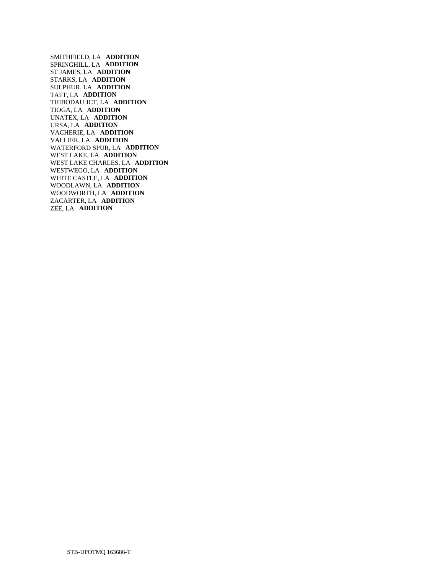SMITHFIELD, LA **ADDITION**  SPRINGHILL, LA **ADDITION**  ST JAMES, LA **ADDITION**  STARKS, LA **ADDITION**  SULPHUR, LA **ADDITION**  TAFT, LA **ADDITION**  THIBODAU JCT, LA **ADDITION**  TIOGA, LA **ADDITION**  UNATEX, LA **ADDITION**  URSA, LA **ADDITION**  VACHERIE, LA **ADDITION**  VALLIER, LA **ADDITION**  WATERFORD SPUR, LA **ADDITION**  WEST LAKE, LA **ADDITION**  WEST LAKE CHARLES, LA **ADDITION**  WESTWEGO, LA **ADDITION**  WHITE CASTLE, LA **ADDITION**  WOODLAWN, LA **ADDITION**  WOODWORTH, LA **ADDITION**  ZACARTER, LA **ADDITION**  ZEE, LA **ADDITION**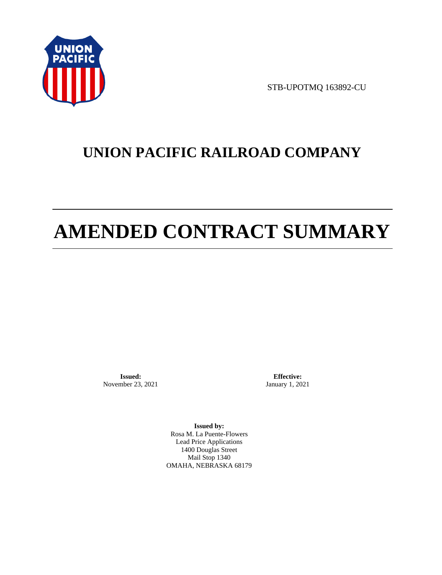

STB-UPOTMQ 163892-CU

# **UNION PACIFIC RAILROAD COMPANY**

# **AMENDED CONTRACT SUMMARY**

**Issued:**  November 23, 2021

**Effective:** January 1, 2021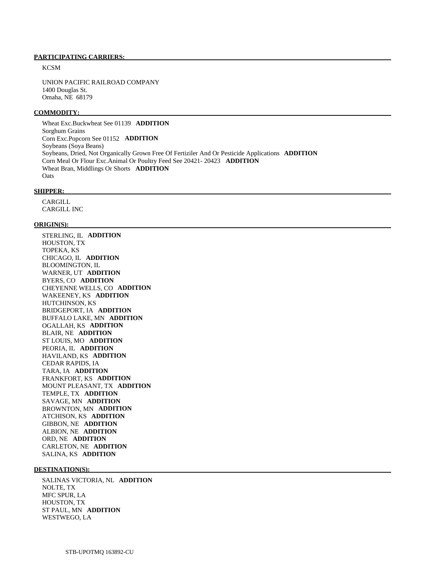**KCSM** 

 UNION PACIFIC RAILROAD COMPANY 1400 Douglas St. Omaha, NE 68179

#### **COMMODITY:**

 Wheat Exc.Buckwheat See 01139 **ADDITION**  Sorghum Grains Corn Exc.Popcorn See 01152 **ADDITION**  Soybeans (Soya Beans) Soybeans, Dried, Not Organically Grown Free Of Fertiziler And Or Pesticide Applications **ADDITION**  Corn Meal Or Flour Exc.Animal Or Poultry Feed See 20421- 20423 **ADDITION**  Wheat Bran, Middlings Or Shorts **ADDITION O**ats

#### **SHIPPER:**

 CARGILL CARGILL INC

#### **ORIGIN(S):**

 STERLING, IL **ADDITION**  HOUSTON, TX TOPEKA, KS CHICAGO, IL **ADDITION**  BLOOMINGTON, IL WARNER, UT **ADDITION**  BYERS, CO **ADDITION**  CHEYENNE WELLS, CO **ADDITION**  WAKEENEY, KS **ADDITION**  HUTCHINSON, KS BRIDGEPORT, IA **ADDITION**  BUFFALO LAKE, MN **ADDITION**  OGALLAH, KS **ADDITION**  BLAIR, NE **ADDITION**  ST LOUIS, MO **ADDITION**  PEORIA, IL **ADDITION**  HAVILAND, KS **ADDITION**  CEDAR RAPIDS, IA TARA, IA **ADDITION**  FRANKFORT, KS **ADDITION**  MOUNT PLEASANT, TX **ADDITION**  TEMPLE, TX **ADDITION**  SAVAGE, MN **ADDITION**  BROWNTON, MN **ADDITION**  ATCHISON, KS **ADDITION**  GIBBON, NE **ADDITION**  ALBION, NE **ADDITION**  ORD, NE **ADDITION**  CARLETON, NE **ADDITION**  SALINA, KS **ADDITION** 

#### **DESTINATION(S):**

 SALINAS VICTORIA, NL **ADDITION**  NOLTE, TX MFC SPUR, LA HOUSTON, TX ST PAUL, MN **ADDITION**  WESTWEGO, LA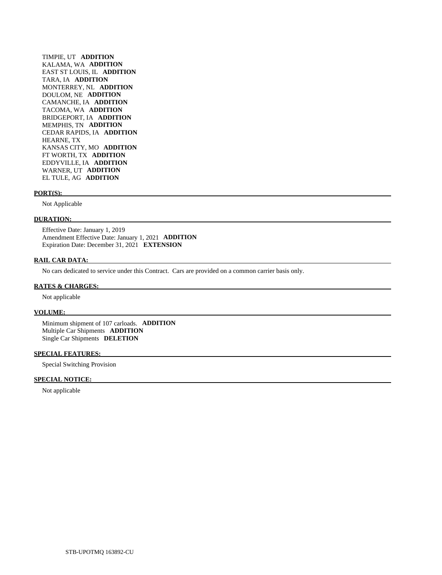TIMPIE, UT **ADDITION**  KALAMA, WA **ADDITION**  EAST ST LOUIS, IL **ADDITION**  TARA, IA **ADDITION**  MONTERREY, NL **ADDITION**  DOULOM, NE **ADDITION**  CAMANCHE, IA **ADDITION**  TACOMA, WA **ADDITION**  BRIDGEPORT, IA **ADDITION**  MEMPHIS, TN **ADDITION**  CEDAR RAPIDS, IA **ADDITION**  HEARNE, TX KANSAS CITY, MO **ADDITION**  FT WORTH, TX **ADDITION**  EDDYVILLE, IA **ADDITION**  WARNER, UT **ADDITION**  EL TULE, AG **ADDITION** 

#### **PORT(S):**

Not Applicable

#### **DURATION:**

 Effective Date: January 1, 2019 Amendment Effective Date: January 1, 2021 **ADDITION**  Expiration Date: December 31, 2021 **EXTENSION** 

#### **RAIL CAR DATA:**

No cars dedicated to service under this Contract. Cars are provided on a common carrier basis only.

#### **RATES & CHARGES:**

Not applicable

#### **VOLUME:**

 Minimum shipment of 107 carloads. **ADDITION**  Multiple Car Shipments **ADDITION**  Single Car Shipments **DELETION** 

#### **SPECIAL FEATURES:**

Special Switching Provision

#### **SPECIAL NOTICE:**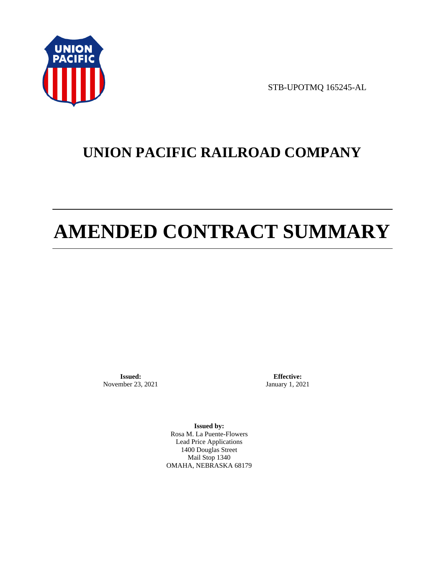

STB-UPOTMQ 165245-AL

# **UNION PACIFIC RAILROAD COMPANY**

# **AMENDED CONTRACT SUMMARY**

**Issued:**  November 23, 2021

**Effective:** January 1, 2021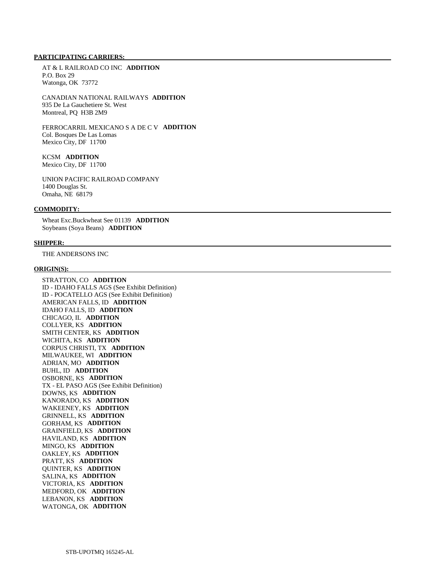AT & L RAILROAD CO INC **ADDITION**  P.O. Box 29 Watonga, OK 73772

 CANADIAN NATIONAL RAILWAYS **ADDITION**  935 De La Gauchetiere St. West Montreal, PQ H3B 2M9

 FERROCARRIL MEXICANO S A DE C V **ADDITION**  Col. Bosques De Las Lomas Mexico City, DF 11700

# KCSM **ADDITION**

Mexico City, DF 11700

 UNION PACIFIC RAILROAD COMPANY 1400 Douglas St. Omaha, NE 68179

#### **COMMODITY:**

 Wheat Exc.Buckwheat See 01139 **ADDITION**  Soybeans (Soya Beans) **ADDITION** 

#### **SHIPPER:**

THE ANDERSONS INC

#### **ORIGIN(S):**

 STRATTON, CO **ADDITION**  ID - IDAHO FALLS AGS (See Exhibit Definition) ID - POCATELLO AGS (See Exhibit Definition) AMERICAN FALLS, ID **ADDITION**  IDAHO FALLS, ID **ADDITION**  CHICAGO, IL **ADDITION**  COLLYER, KS **ADDITION**  SMITH CENTER, KS **ADDITION**  WICHITA, KS **ADDITION**  CORPUS CHRISTI, TX **ADDITION**  MILWAUKEE, WI **ADDITION**  ADRIAN, MO **ADDITION**  BUHL, ID **ADDITION**  OSBORNE, KS **ADDITION**  TX - EL PASO AGS (See Exhibit Definition) DOWNS, KS **ADDITION**  KANORADO, KS **ADDITION**  WAKEENEY, KS **ADDITION**  GRINNELL, KS **ADDITION**  GORHAM, KS **ADDITION**  GRAINFIELD, KS **ADDITION**  HAVILAND, KS **ADDITION**  MINGO, KS **ADDITION**  OAKLEY, KS **ADDITION**  PRATT, KS **ADDITION**  QUINTER, KS **ADDITION**  SALINA, KS **ADDITION**  VICTORIA, KS **ADDITION**  MEDFORD, OK **ADDITION**  LEBANON, KS **ADDITION**  WATONGA, OK **ADDITION**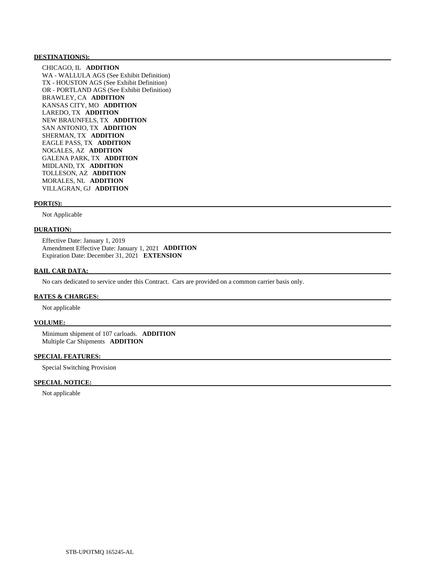#### **DESTINATION(S):**

 CHICAGO, IL **ADDITION**  WA - WALLULA AGS (See Exhibit Definition) TX - HOUSTON AGS (See Exhibit Definition) OR - PORTLAND AGS (See Exhibit Definition) BRAWLEY, CA **ADDITION**  KANSAS CITY, MO **ADDITION**  LAREDO, TX **ADDITION**  NEW BRAUNFELS, TX **ADDITION**  SAN ANTONIO, TX **ADDITION**  SHERMAN, TX **ADDITION**  EAGLE PASS, TX **ADDITION**  NOGALES, AZ **ADDITION**  GALENA PARK, TX **ADDITION**  MIDLAND, TX **ADDITION**  TOLLESON, AZ **ADDITION**  MORALES, NL **ADDITION**  VILLAGRAN, GJ **ADDITION** 

#### **PORT(S):**

Not Applicable

#### **DURATION:**

 Effective Date: January 1, 2019 Amendment Effective Date: January 1, 2021 **ADDITION**  Expiration Date: December 31, 2021 **EXTENSION** 

### **RAIL CAR DATA:**

No cars dedicated to service under this Contract. Cars are provided on a common carrier basis only.

#### **RATES & CHARGES:**

Not applicable

#### **VOLUME:**

 Minimum shipment of 107 carloads. **ADDITION**  Multiple Car Shipments **ADDITION** 

#### **SPECIAL FEATURES:**

Special Switching Provision

#### **SPECIAL NOTICE:**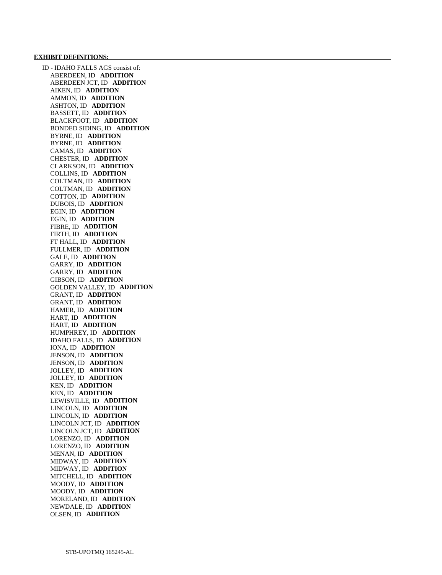#### **EXHIBIT DEFINITIONS:**

 ID - IDAHO FALLS AGS consist of: ABERDEEN, ID **ADDITION**  ABERDEEN JCT, ID **ADDITION**  AIKEN, ID **ADDITION**  AMMON, ID **ADDITION**  ASHTON, ID **ADDITION**  BASSETT, ID **ADDITION**  BLACKFOOT, ID **ADDITION**  BONDED SIDING, ID **ADDITION**  BYRNE, ID **ADDITION**  BYRNE, ID **ADDITION**  CAMAS, ID **ADDITION**  CHESTER, ID **ADDITION**  CLARKSON, ID **ADDITION**  COLLINS, ID **ADDITION**  COLTMAN, ID **ADDITION**  COLTMAN, ID **ADDITION**  COTTON, ID **ADDITION**  DUBOIS, ID **ADDITION**  EGIN, ID **ADDITION**  EGIN, ID **ADDITION**  FIBRE, ID **ADDITION**  FIRTH, ID **ADDITION**  FT HALL, ID **ADDITION**  FULLMER, ID **ADDITION**  GALE, ID **ADDITION**  GARRY, ID **ADDITION**  GARRY, ID **ADDITION**  GIBSON, ID **ADDITION**  GOLDEN VALLEY, ID **ADDITION**  GRANT, ID **ADDITION**  GRANT, ID **ADDITION**  HAMER, ID **ADDITION**  HART, ID **ADDITION**  HART, ID **ADDITION**  HUMPHREY, ID **ADDITION**  IDAHO FALLS, ID **ADDITION**  IONA, ID **ADDITION**  JENSON, ID **ADDITION**  JENSON, ID **ADDITION**  JOLLEY, ID **ADDITION**  JOLLEY, ID **ADDITION**  KEN, ID **ADDITION**  KEN, ID **ADDITION**  LEWISVILLE, ID **ADDITION**  LINCOLN, ID **ADDITION**  LINCOLN, ID **ADDITION**  LINCOLN JCT, ID **ADDITION**  LINCOLN JCT, ID **ADDITION**  LORENZO, ID **ADDITION**  LORENZO, ID **ADDITION**  MENAN, ID **ADDITION**  MIDWAY, ID **ADDITION**  MIDWAY, ID **ADDITION**  MITCHELL, ID **ADDITION**  MOODY, ID **ADDITION**  MOODY, ID **ADDITION**  MORELAND, ID **ADDITION**  NEWDALE, ID **ADDITION**  OLSEN, ID **ADDITION**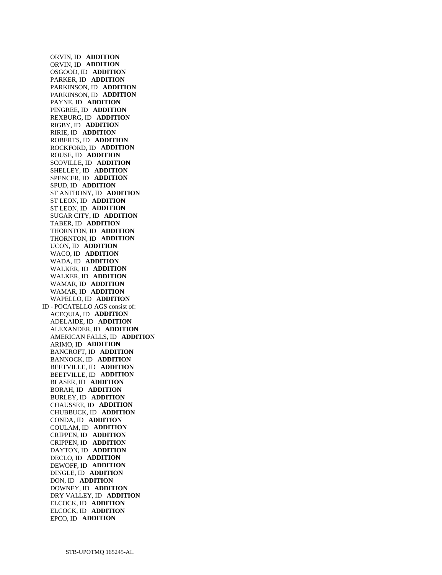ORVIN, ID **ADDITION**  ORVIN, ID **ADDITION**  OSGOOD, ID **ADDITION**  PARKER, ID **ADDITION**  PARKINSON, ID **ADDITION**  PARKINSON, ID **ADDITION**  PAYNE, ID **ADDITION**  PINGREE, ID **ADDITION**  REXBURG, ID **ADDITION**  RIGBY, ID **ADDITION**  RIRIE, ID **ADDITION**  ROBERTS, ID **ADDITION**  ROCKFORD, ID **ADDITION**  ROUSE, ID **ADDITION**  SCOVILLE, ID **ADDITION**  SHELLEY, ID **ADDITION**  SPENCER, ID **ADDITION**  SPUD, ID **ADDITION**  ST ANTHONY, ID **ADDITION**  ST LEON, ID **ADDITION**  ST LEON, ID **ADDITION**  SUGAR CITY, ID **ADDITION**  TABER, ID **ADDITION**  THORNTON, ID **ADDITION**  THORNTON, ID **ADDITION**  UCON, ID **ADDITION**  WACO, ID **ADDITION**  WADA, ID **ADDITION**  WALKER, ID **ADDITION**  WALKER, ID **ADDITION**  WAMAR, ID **ADDITION**  WAMAR, ID **ADDITION**  WAPELLO, ID **ADDITION**  ID - POCATELLO AGS consist of: ACEQUIA, ID **ADDITION**  ADELAIDE, ID **ADDITION**  ALEXANDER, ID **ADDITION**  AMERICAN FALLS, ID **ADDITION**  ARIMO, ID **ADDITION**  BANCROFT, ID **ADDITION**  BANNOCK, ID **ADDITION**  BEETVILLE, ID **ADDITION**  BEETVILLE, ID **ADDITION**  BLASER, ID **ADDITION**  BORAH, ID **ADDITION**  BURLEY, ID **ADDITION**  CHAUSSEE, ID **ADDITION**  CHUBBUCK, ID **ADDITION**  CONDA, ID **ADDITION**  COULAM, ID **ADDITION**  CRIPPEN, ID **ADDITION**  CRIPPEN, ID **ADDITION**  DAYTON, ID **ADDITION**  DECLO, ID **ADDITION**  DEWOFF, ID **ADDITION**  DINGLE, ID **ADDITION**  DON, ID **ADDITION**  DOWNEY, ID **ADDITION**  DRY VALLEY, ID **ADDITION**  ELCOCK, ID **ADDITION**  ELCOCK, ID **ADDITION**  EPCO, ID **ADDITION**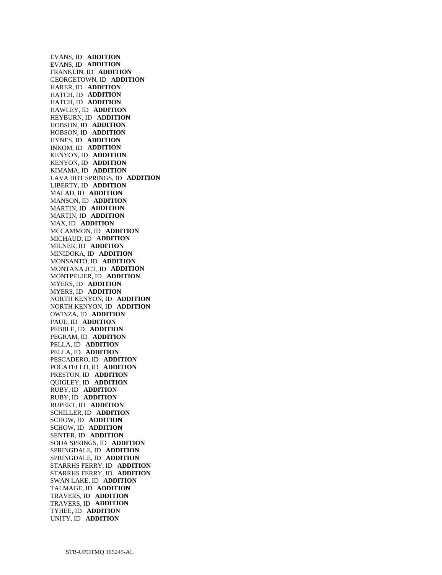EVANS, ID **ADDITION**  EVANS, ID **ADDITION**  FRANKLIN, ID **ADDITION**  GEORGETOWN, ID **ADDITION**  HARER, ID **ADDITION**  HATCH, ID **ADDITION**  HATCH, ID **ADDITION**  HAWLEY, ID **ADDITION**  HEYBURN, ID **ADDITION**  HOBSON, ID **ADDITION**  HOBSON, ID **ADDITION**  HYNES, ID **ADDITION**  INKOM, ID **ADDITION**  KENYON, ID **ADDITION**  KENYON, ID **ADDITION**  KIMAMA, ID **ADDITION**  LAVA HOT SPRINGS, ID **ADDITION**  LIBERTY, ID **ADDITION**  MALAD, ID **ADDITION**  MANSON, ID **ADDITION**  MARTIN, ID **ADDITION**  MARTIN, ID **ADDITION**  MAX, ID **ADDITION**  MCCAMMON, ID **ADDITION**  MICHAUD, ID **ADDITION**  MILNER, ID **ADDITION**  MINIDOKA, ID **ADDITION**  MONSANTO, ID **ADDITION**  MONTANA JCT, ID **ADDITION**  MONTPELIER, ID **ADDITION**  MYERS, ID **ADDITION**  MYERS, ID **ADDITION**  NORTH KENYON, ID **ADDITION**  NORTH KENYON, ID **ADDITION**  OWINZA, ID **ADDITION**  PAUL, ID **ADDITION**  PEBBLE, ID **ADDITION**  PEGRAM, ID **ADDITION**  PELLA, ID **ADDITION**  PELLA, ID **ADDITION**  PESCADERO, ID **ADDITION**  POCATELLO, ID **ADDITION**  PRESTON, ID **ADDITION**  QUIGLEY, ID **ADDITION**  RUBY, ID **ADDITION**  RUBY, ID **ADDITION**  RUPERT, ID **ADDITION**  SCHILLER, ID **ADDITION**  SCHOW, ID **ADDITION**  SCHOW, ID **ADDITION**  SENTER, ID **ADDITION**  SODA SPRINGS, ID **ADDITION**  SPRINGDALE, ID **ADDITION**  SPRINGDALE, ID **ADDITION**  STARRHS FERRY, ID **ADDITION**  STARRHS FERRY, ID **ADDITION**  SWAN LAKE, ID **ADDITION**  TALMAGE, ID **ADDITION**  TRAVERS, ID **ADDITION**  TRAVERS, ID **ADDITION**  TYHEE, ID **ADDITION**  UNITY, ID **ADDITION**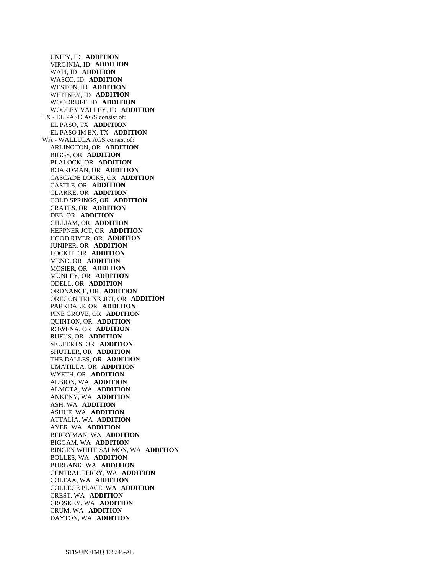UNITY, ID **ADDITION**  VIRGINIA, ID **ADDITION**  WAPI, ID **ADDITION**  WASCO, ID **ADDITION**  WESTON, ID **ADDITION**  WHITNEY, ID **ADDITION**  WOODRUFF, ID **ADDITION**  WOOLEY VALLEY, ID **ADDITION**  TX - EL PASO AGS consist of: EL PASO, TX **ADDITION**  EL PASO IM EX, TX **ADDITION**  WA - WALLULA AGS consist of: ARLINGTON, OR **ADDITION**  BIGGS, OR **ADDITION**  BLALOCK, OR **ADDITION**  BOARDMAN, OR **ADDITION**  CASCADE LOCKS, OR **ADDITION**  CASTLE, OR **ADDITION**  CLARKE, OR **ADDITION**  COLD SPRINGS, OR **ADDITION**  CRATES, OR **ADDITION**  DEE, OR **ADDITION**  GILLIAM, OR **ADDITION**  HEPPNER JCT, OR **ADDITION**  HOOD RIVER, OR **ADDITION**  JUNIPER, OR **ADDITION**  LOCKIT, OR **ADDITION**  MENO, OR **ADDITION**  MOSIER, OR **ADDITION**  MUNLEY, OR **ADDITION**  ODELL, OR **ADDITION**  ORDNANCE, OR **ADDITION**  OREGON TRUNK JCT, OR **ADDITION**  PARKDALE, OR **ADDITION**  PINE GROVE, OR **ADDITION**  QUINTON, OR **ADDITION**  ROWENA, OR **ADDITION**  RUFUS, OR **ADDITION**  SEUFERTS, OR **ADDITION**  SHUTLER, OR **ADDITION**  THE DALLES, OR **ADDITION**  UMATILLA, OR **ADDITION**  WYETH, OR **ADDITION**  ALBION, WA **ADDITION**  ALMOTA, WA **ADDITION**  ANKENY, WA **ADDITION**  ASH, WA **ADDITION**  ASHUE, WA **ADDITION**  ATTALIA, WA **ADDITION**  AYER, WA **ADDITION**  BERRYMAN, WA **ADDITION**  BIGGAM, WA **ADDITION**  BINGEN WHITE SALMON, WA **ADDITION**  BOLLES, WA **ADDITION**  BURBANK, WA **ADDITION**  CENTRAL FERRY, WA **ADDITION**  COLFAX, WA **ADDITION**  COLLEGE PLACE, WA **ADDITION**  CREST, WA **ADDITION**  CROSKEY, WA **ADDITION**  CRUM, WA **ADDITION**  DAYTON, WA **ADDITION**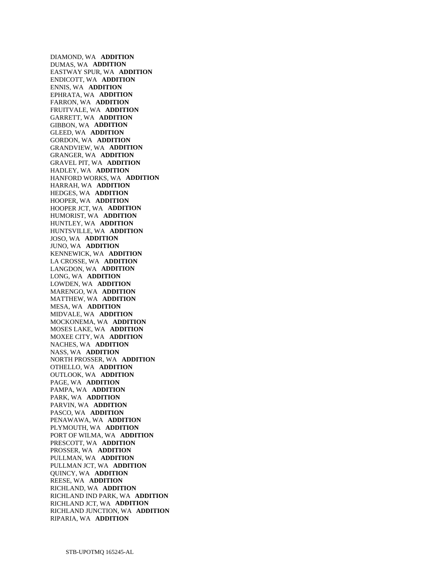DIAMOND, WA **ADDITION**  DUMAS, WA **ADDITION**  EASTWAY SPUR, WA **ADDITION**  ENDICOTT, WA **ADDITION**  ENNIS, WA **ADDITION**  EPHRATA, WA **ADDITION**  FARRON, WA **ADDITION**  FRUITVALE, WA **ADDITION**  GARRETT, WA **ADDITION**  GIBBON, WA **ADDITION**  GLEED, WA **ADDITION**  GORDON, WA **ADDITION**  GRANDVIEW, WA **ADDITION**  GRANGER, WA **ADDITION**  GRAVEL PIT, WA **ADDITION**  HADLEY, WA **ADDITION**  HANFORD WORKS, WA **ADDITION**  HARRAH, WA **ADDITION**  HEDGES, WA **ADDITION**  HOOPER, WA **ADDITION**  HOOPER JCT, WA **ADDITION**  HUMORIST, WA **ADDITION**  HUNTLEY, WA **ADDITION**  HUNTSVILLE, WA **ADDITION**  JOSO, WA **ADDITION**  JUNO, WA **ADDITION**  KENNEWICK, WA **ADDITION**  LA CROSSE, WA **ADDITION**  LANGDON, WA **ADDITION**  LONG, WA **ADDITION**  LOWDEN, WA **ADDITION**  MARENGO, WA **ADDITION**  MATTHEW, WA **ADDITION**  MESA, WA **ADDITION**  MIDVALE, WA **ADDITION**  MOCKONEMA, WA **ADDITION**  MOSES LAKE, WA **ADDITION**  MOXEE CITY, WA **ADDITION**  NACHES, WA **ADDITION**  NASS, WA **ADDITION**  NORTH PROSSER, WA **ADDITION**  OTHELLO, WA **ADDITION**  OUTLOOK, WA **ADDITION**  PAGE, WA **ADDITION**  PAMPA, WA **ADDITION**  PARK, WA **ADDITION**  PARVIN, WA **ADDITION**  PASCO, WA **ADDITION**  PENAWAWA, WA **ADDITION**  PLYMOUTH, WA **ADDITION**  PORT OF WILMA, WA **ADDITION**  PRESCOTT, WA **ADDITION**  PROSSER, WA **ADDITION**  PULLMAN, WA **ADDITION**  PULLMAN JCT, WA **ADDITION**  QUINCY, WA **ADDITION**  REESE, WA **ADDITION**  RICHLAND, WA **ADDITION**  RICHLAND IND PARK, WA **ADDITION**  RICHLAND JCT, WA **ADDITION**  RICHLAND JUNCTION, WA **ADDITION**  RIPARIA, WA **ADDITION**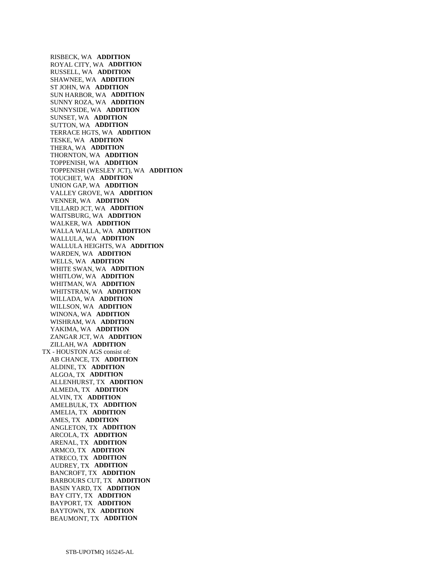RISBECK, WA **ADDITION**  ROYAL CITY, WA **ADDITION**  RUSSELL, WA **ADDITION**  SHAWNEE, WA **ADDITION**  ST JOHN, WA **ADDITION**  SUN HARBOR, WA **ADDITION**  SUNNY ROZA, WA **ADDITION**  SUNNYSIDE, WA **ADDITION**  SUNSET, WA **ADDITION**  SUTTON, WA **ADDITION**  TERRACE HGTS, WA **ADDITION**  TESKE, WA **ADDITION**  THERA, WA **ADDITION**  THORNTON, WA **ADDITION**  TOPPENISH, WA **ADDITION**  TOPPENISH (WESLEY JCT), WA **ADDITION**  TOUCHET, WA **ADDITION**  UNION GAP, WA **ADDITION**  VALLEY GROVE, WA **ADDITION**  VENNER, WA **ADDITION**  VILLARD JCT, WA **ADDITION**  WAITSBURG, WA **ADDITION**  WALKER, WA **ADDITION**  WALLA WALLA, WA **ADDITION**  WALLULA, WA **ADDITION**  WALLULA HEIGHTS, WA **ADDITION**  WARDEN, WA **ADDITION**  WELLS, WA **ADDITION**  WHITE SWAN, WA **ADDITION**  WHITLOW, WA **ADDITION**  WHITMAN, WA **ADDITION**  WHITSTRAN, WA **ADDITION**  WILLADA, WA **ADDITION**  WILLSON, WA **ADDITION**  WINONA, WA **ADDITION**  WISHRAM, WA **ADDITION**  YAKIMA, WA **ADDITION**  ZANGAR JCT, WA **ADDITION**  ZILLAH, WA **ADDITION**  TX - HOUSTON AGS consist of: AB CHANCE, TX **ADDITION**  ALDINE, TX **ADDITION**  ALGOA, TX **ADDITION**  ALLENHURST, TX **ADDITION**  ALMEDA, TX **ADDITION**  ALVIN, TX **ADDITION**  AMELBULK, TX **ADDITION**  AMELIA, TX **ADDITION**  AMES, TX **ADDITION**  ANGLETON, TX **ADDITION**  ARCOLA, TX **ADDITION**  ARENAL, TX **ADDITION**  ARMCO, TX **ADDITION**  ATRECO, TX **ADDITION**  AUDREY, TX **ADDITION**  BANCROFT, TX **ADDITION**  BARBOURS CUT, TX **ADDITION**  BASIN YARD, TX **ADDITION**  BAY CITY, TX **ADDITION**  BAYPORT, TX **ADDITION**  BAYTOWN, TX **ADDITION**  BEAUMONT, TX **ADDITION**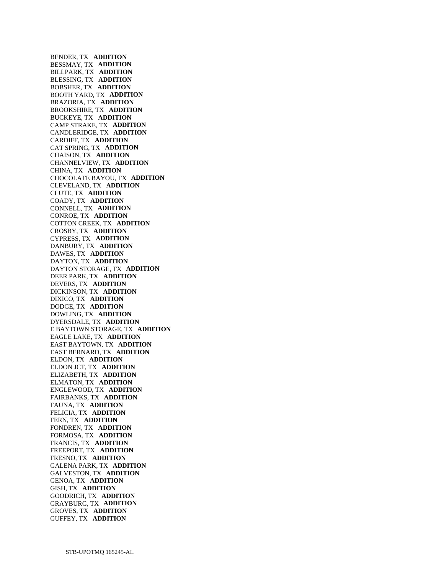BENDER, TX **ADDITION**  BESSMAY, TX **ADDITION**  BILLPARK, TX **ADDITION**  BLESSING, TX **ADDITION**  BOBSHER, TX **ADDITION**  BOOTH YARD, TX **ADDITION**  BRAZORIA, TX **ADDITION**  BROOKSHIRE, TX **ADDITION**  BUCKEYE, TX **ADDITION**  CAMP STRAKE, TX **ADDITION**  CANDLERIDGE, TX **ADDITION**  CARDIFF, TX **ADDITION**  CAT SPRING, TX **ADDITION**  CHAISON, TX **ADDITION**  CHANNELVIEW, TX **ADDITION**  CHINA, TX **ADDITION**  CHOCOLATE BAYOU, TX **ADDITION**  CLEVELAND, TX **ADDITION**  CLUTE, TX **ADDITION**  COADY, TX **ADDITION**  CONNELL, TX **ADDITION**  CONROE, TX **ADDITION**  COTTON CREEK, TX **ADDITION**  CROSBY, TX **ADDITION**  CYPRESS, TX **ADDITION**  DANBURY, TX **ADDITION**  DAWES, TX **ADDITION**  DAYTON, TX **ADDITION**  DAYTON STORAGE, TX **ADDITION**  DEER PARK, TX **ADDITION**  DEVERS, TX **ADDITION**  DICKINSON, TX **ADDITION**  DIXICO, TX **ADDITION**  DODGE, TX **ADDITION**  DOWLING, TX **ADDITION**  DYERSDALE, TX **ADDITION**  E BAYTOWN STORAGE, TX **ADDITION**  EAGLE LAKE, TX **ADDITION**  EAST BAYTOWN, TX **ADDITION**  EAST BERNARD, TX **ADDITION**  ELDON, TX **ADDITION**  ELDON JCT, TX **ADDITION**  ELIZABETH, TX **ADDITION**  ELMATON, TX **ADDITION**  ENGLEWOOD, TX **ADDITION**  FAIRBANKS, TX **ADDITION**  FAUNA, TX **ADDITION**  FELICIA, TX **ADDITION**  FERN, TX **ADDITION**  FONDREN, TX **ADDITION**  FORMOSA, TX **ADDITION**  FRANCIS, TX **ADDITION**  FREEPORT, TX **ADDITION**  FRESNO, TX **ADDITION**  GALENA PARK, TX **ADDITION**  GALVESTON, TX **ADDITION**  GENOA, TX **ADDITION**  GISH, TX **ADDITION**  GOODRICH, TX **ADDITION**  GRAYBURG, TX **ADDITION**  GROVES, TX **ADDITION**  GUFFEY, TX **ADDITION**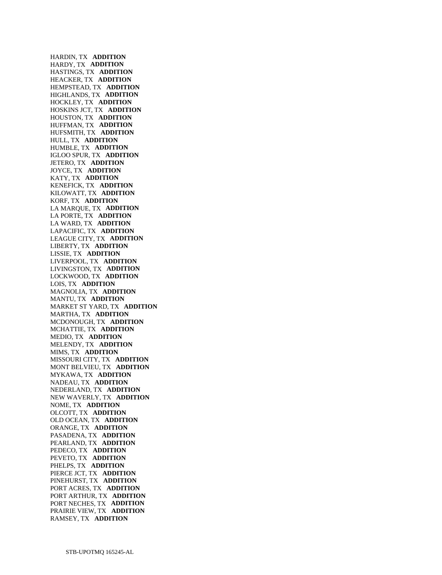HARDIN, TX **ADDITION**  HARDY, TX **ADDITION**  HASTINGS, TX **ADDITION**  HEACKER, TX **ADDITION**  HEMPSTEAD, TX **ADDITION**  HIGHLANDS, TX **ADDITION**  HOCKLEY, TX **ADDITION**  HOSKINS JCT, TX **ADDITION**  HOUSTON, TX **ADDITION**  HUFFMAN, TX **ADDITION**  HUFSMITH, TX **ADDITION**  HULL, TX **ADDITION**  HUMBLE, TX **ADDITION**  IGLOO SPUR, TX **ADDITION**  JETERO, TX **ADDITION**  JOYCE, TX **ADDITION**  KATY, TX **ADDITION**  KENEFICK, TX **ADDITION**  KILOWATT, TX **ADDITION**  KORF, TX **ADDITION**  LA MARQUE, TX **ADDITION**  LA PORTE, TX **ADDITION**  LA WARD, TX **ADDITION**  LAPACIFIC, TX **ADDITION**  LEAGUE CITY, TX **ADDITION**  LIBERTY, TX **ADDITION**  LISSIE, TX **ADDITION**  LIVERPOOL, TX **ADDITION**  LIVINGSTON, TX **ADDITION**  LOCKWOOD, TX **ADDITION**  LOIS, TX **ADDITION**  MAGNOLIA, TX **ADDITION**  MANTU, TX **ADDITION**  MARKET ST YARD, TX **ADDITION**  MARTHA, TX **ADDITION**  MCDONOUGH, TX **ADDITION**  MCHATTIE, TX **ADDITION**  MEDIO, TX **ADDITION**  MELENDY, TX **ADDITION**  MIMS, TX **ADDITION**  MISSOURI CITY, TX **ADDITION**  MONT BELVIEU, TX **ADDITION**  MYKAWA, TX **ADDITION**  NADEAU, TX **ADDITION**  NEDERLAND, TX **ADDITION**  NEW WAVERLY, TX **ADDITION**  NOME, TX **ADDITION**  OLCOTT, TX **ADDITION**  OLD OCEAN, TX **ADDITION**  ORANGE, TX **ADDITION**  PASADENA, TX **ADDITION**  PEARLAND, TX **ADDITION**  PEDECO, TX **ADDITION**  PEVETO, TX **ADDITION**  PHELPS, TX **ADDITION**  PIERCE JCT, TX **ADDITION**  PINEHURST, TX **ADDITION**  PORT ACRES, TX **ADDITION**  PORT ARTHUR, TX **ADDITION**  PORT NECHES, TX **ADDITION**  PRAIRIE VIEW, TX **ADDITION**  RAMSEY, TX **ADDITION**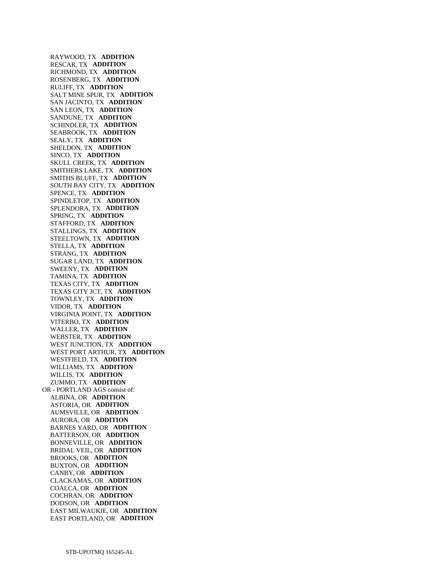RAYWOOD, TX **ADDITION**  RESCAR, TX **ADDITION**  RICHMOND, TX **ADDITION**  ROSENBERG, TX **ADDITION**  RULIFF, TX **ADDITION**  SALT MINE SPUR, TX **ADDITION**  SAN JACINTO, TX **ADDITION**  SAN LEON, TX **ADDITION**  SANDUNE, TX **ADDITION**  SCHINDLER, TX **ADDITION**  SEABROOK, TX **ADDITION**  SEALY, TX **ADDITION**  SHELDON, TX **ADDITION**  SINCO, TX **ADDITION**  SKULL CREEK, TX **ADDITION**  SMITHERS LAKE, TX **ADDITION**  SMITHS BLUFF, TX **ADDITION**  SOUTH BAY CITY, TX **ADDITION**  SPENCE, TX **ADDITION**  SPINDLETOP, TX **ADDITION**  SPLENDORA, TX **ADDITION**  SPRING, TX **ADDITION**  STAFFORD, TX **ADDITION**  STALLINGS, TX **ADDITION**  STEELTOWN, TX **ADDITION**  STELLA, TX **ADDITION**  STRANG, TX **ADDITION**  SUGAR LAND, TX **ADDITION**  SWEENY, TX **ADDITION**  TAMINA, TX **ADDITION**  TEXAS CITY, TX **ADDITION**  TEXAS CITY JCT, TX **ADDITION**  TOWNLEY, TX **ADDITION**  VIDOR, TX **ADDITION**  VIRGINIA POINT, TX **ADDITION**  VITERBO, TX **ADDITION**  WALLER, TX **ADDITION**  WEBSTER, TX **ADDITION**  WEST JUNCTION, TX **ADDITION**  WEST PORT ARTHUR, TX **ADDITION**  WESTFIELD, TX **ADDITION**  WILLIAMS, TX **ADDITION**  WILLIS, TX **ADDITION**  ZUMMO, TX **ADDITION**  OR - PORTLAND AGS consist of: ALBINA, OR **ADDITION**  ASTORIA, OR **ADDITION**  AUMSVILLE, OR **ADDITION**  AURORA, OR **ADDITION**  BARNES YARD, OR **ADDITION**  BATTERSON, OR **ADDITION**  BONNEVILLE, OR **ADDITION**  BRIDAL VEIL, OR **ADDITION**  BROOKS, OR **ADDITION**  BUXTON, OR **ADDITION**  CANBY, OR **ADDITION**  CLACKAMAS, OR **ADDITION**  COALCA, OR **ADDITION**  COCHRAN, OR **ADDITION**  DODSON, OR **ADDITION**  EAST MILWAUKIE, OR **ADDITION**  EAST PORTLAND, OR **ADDITION**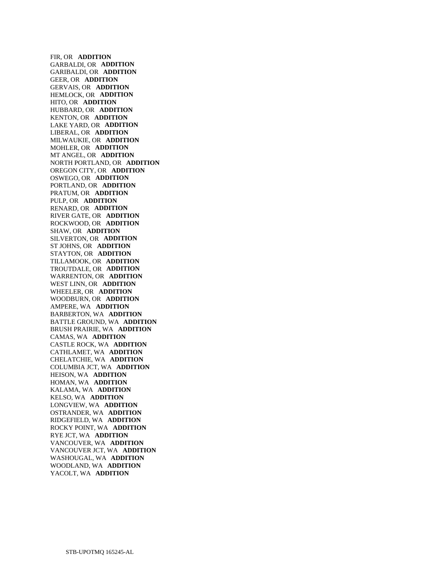FIR, OR **ADDITION**  GARBALDI, OR **ADDITION**  GARIBALDI, OR **ADDITION**  GEER, OR **ADDITION**  GERVAIS, OR **ADDITION**  HEMLOCK, OR **ADDITION**  HITO, OR **ADDITION**  HUBBARD, OR **ADDITION**  KENTON, OR **ADDITION**  LAKE YARD, OR **ADDITION**  LIBERAL, OR **ADDITION**  MILWAUKIE, OR **ADDITION**  MOHLER, OR **ADDITION**  MT ANGEL, OR **ADDITION**  NORTH PORTLAND, OR **ADDITION**  OREGON CITY, OR **ADDITION**  OSWEGO, OR **ADDITION**  PORTLAND, OR **ADDITION**  PRATUM, OR **ADDITION**  PULP, OR **ADDITION**  RENARD, OR **ADDITION**  RIVER GATE, OR **ADDITION**  ROCKWOOD, OR **ADDITION**  SHAW, OR **ADDITION**  SILVERTON, OR **ADDITION**  ST JOHNS, OR **ADDITION**  STAYTON, OR **ADDITION**  TILLAMOOK, OR **ADDITION**  TROUTDALE, OR **ADDITION**  WARRENTON, OR **ADDITION**  WEST LINN, OR **ADDITION**  WHEELER, OR **ADDITION**  WOODBURN, OR **ADDITION**  AMPERE, WA **ADDITION**  BARBERTON, WA **ADDITION**  BATTLE GROUND, WA **ADDITION**  BRUSH PRAIRIE, WA **ADDITION**  CAMAS, WA **ADDITION**  CASTLE ROCK, WA **ADDITION**  CATHLAMET, WA **ADDITION**  CHELATCHIE, WA **ADDITION**  COLUMBIA JCT, WA **ADDITION**  HEISON, WA **ADDITION**  HOMAN, WA **ADDITION**  KALAMA, WA **ADDITION**  KELSO, WA **ADDITION**  LONGVIEW, WA **ADDITION**  OSTRANDER, WA **ADDITION**  RIDGEFIELD, WA **ADDITION**  ROCKY POINT, WA **ADDITION**  RYE JCT, WA **ADDITION**  VANCOUVER, WA **ADDITION**  VANCOUVER JCT, WA **ADDITION**  WASHOUGAL, WA **ADDITION**  WOODLAND, WA **ADDITION**  YACOLT, WA **ADDITION**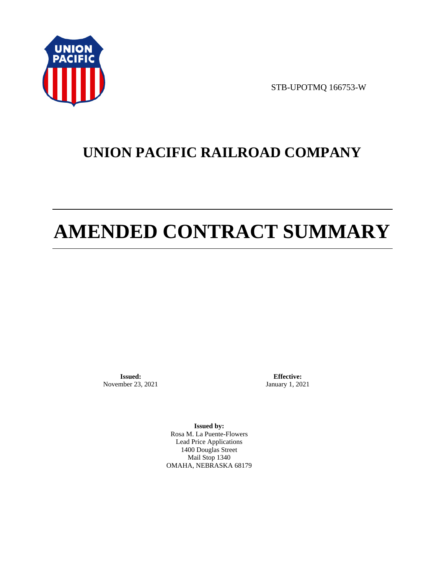

STB-UPOTMQ 166753-W

# **UNION PACIFIC RAILROAD COMPANY**

# **AMENDED CONTRACT SUMMARY**

**Issued:**  November 23, 2021

**Effective:** January 1, 2021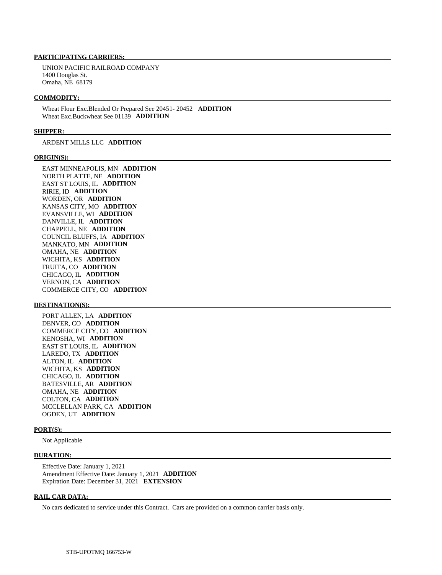UNION PACIFIC RAILROAD COMPANY 1400 Douglas St. Omaha, NE 68179

#### **COMMODITY:**

 Wheat Flour Exc.Blended Or Prepared See 20451- 20452 **ADDITION**  Wheat Exc.Buckwheat See 01139 **ADDITION** 

#### **SHIPPER:**

ARDENT MILLS LLC **ADDITION** 

#### **ORIGIN(S):**

 EAST MINNEAPOLIS, MN **ADDITION**  NORTH PLATTE, NE **ADDITION**  EAST ST LOUIS, IL **ADDITION**  RIRIE, ID **ADDITION**  WORDEN, OR **ADDITION**  KANSAS CITY, MO **ADDITION**  EVANSVILLE, WI **ADDITION**  DANVILLE, IL **ADDITION**  CHAPPELL, NE **ADDITION**  COUNCIL BLUFFS, IA **ADDITION**  MANKATO, MN **ADDITION**  OMAHA, NE **ADDITION**  WICHITA, KS **ADDITION**  FRUITA, CO **ADDITION**  CHICAGO, IL **ADDITION**  VERNON, CA **ADDITION**  COMMERCE CITY, CO **ADDITION** 

#### **DESTINATION(S):**

 PORT ALLEN, LA **ADDITION**  DENVER, CO **ADDITION**  COMMERCE CITY, CO **ADDITION**  KENOSHA, WI **ADDITION**  EAST ST LOUIS, IL **ADDITION**  LAREDO, TX **ADDITION**  ALTON, IL **ADDITION**  WICHITA, KS **ADDITION**  CHICAGO, IL **ADDITION**  BATESVILLE, AR **ADDITION**  OMAHA, NE **ADDITION**  COLTON, CA **ADDITION**  MCCLELLAN PARK, CA **ADDITION**  OGDEN, UT **ADDITION** 

#### **PORT(S):**

Not Applicable

#### **DURATION:**

 Effective Date: January 1, 2021 Amendment Effective Date: January 1, 2021 **ADDITION**  Expiration Date: December 31, 2021 **EXTENSION** 

#### **RAIL CAR DATA:**

No cars dedicated to service under this Contract. Cars are provided on a common carrier basis only.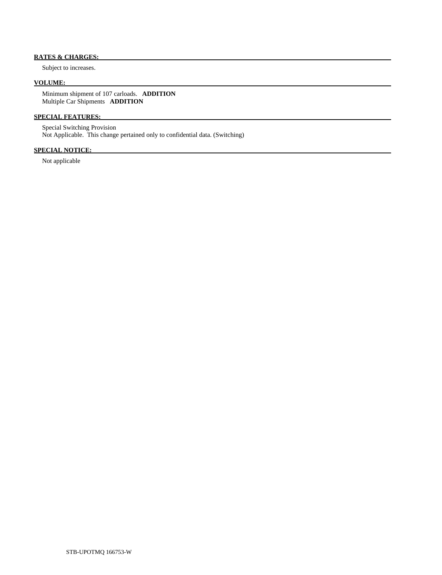# **RATES & CHARGES:**

Subject to increases.

# **VOLUME:**

 Minimum shipment of 107 carloads. **ADDITION**  Multiple Car Shipments **ADDITION** 

# **SPECIAL FEATURES:**

 Special Switching Provision Not Applicable. This change pertained only to confidential data. (Switching)

# **SPECIAL NOTICE:**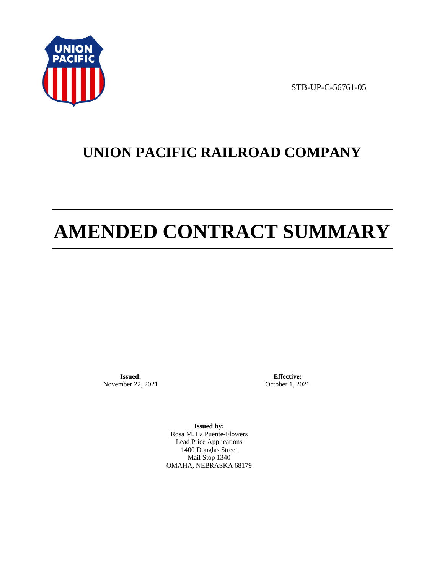

STB-UP-C-56761-05

# **UNION PACIFIC RAILROAD COMPANY**

# **AMENDED CONTRACT SUMMARY**

**Issued:**  November 22, 2021

**Effective:** October 1, 2021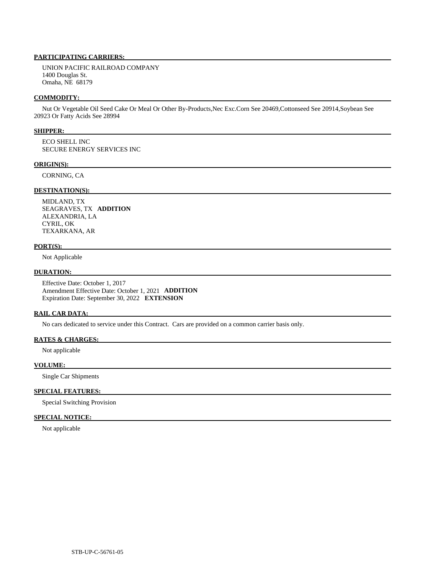UNION PACIFIC RAILROAD COMPANY 1400 Douglas St. Omaha, NE 68179

#### **COMMODITY:**

 Nut Or Vegetable Oil Seed Cake Or Meal Or Other By-Products,Nec Exc.Corn See 20469,Cottonseed See 20914,Soybean See 20923 Or Fatty Acids See 28994

#### **SHIPPER:**

 ECO SHELL INC SECURE ENERGY SERVICES INC

#### **ORIGIN(S):**

CORNING, CA

# **DESTINATION(S):**

 MIDLAND, TX SEAGRAVES, TX **ADDITION**  ALEXANDRIA, LA CYRIL, OK TEXARKANA, AR

#### **PORT(S):**

Not Applicable

#### **DURATION:**

 Effective Date: October 1, 2017 Amendment Effective Date: October 1, 2021 **ADDITION**  Expiration Date: September 30, 2022 **EXTENSION** 

# **RAIL CAR DATA:**

No cars dedicated to service under this Contract. Cars are provided on a common carrier basis only.

#### **RATES & CHARGES:**

Not applicable

#### **VOLUME:**

Single Car Shipments

## **SPECIAL FEATURES:**

Special Switching Provision

### **SPECIAL NOTICE:**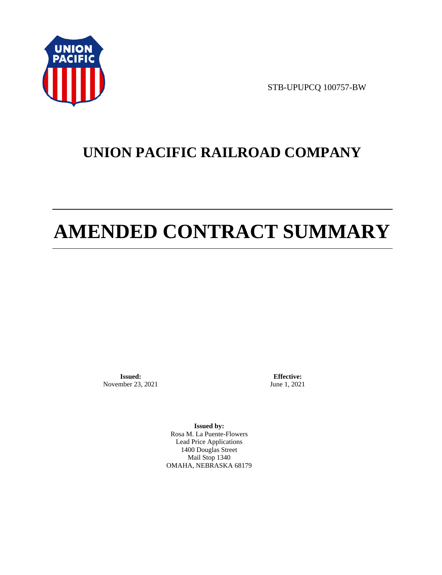

STB-UPUPCQ 100757-BW

# **UNION PACIFIC RAILROAD COMPANY**

# **AMENDED CONTRACT SUMMARY**

**Issued:**  November 23, 2021

**Effective:** June 1, 2021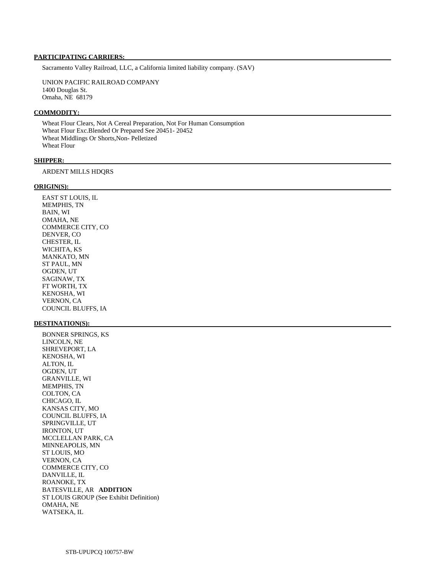Sacramento Valley Railroad, LLC, a California limited liability company. (SAV)

 UNION PACIFIC RAILROAD COMPANY 1400 Douglas St. Omaha, NE 68179

#### **COMMODITY:**

 Wheat Flour Clears, Not A Cereal Preparation, Not For Human Consumption Wheat Flour Exc.Blended Or Prepared See 20451- 20452 Wheat Middlings Or Shorts,Non- Pelletized Wheat Flour

#### **SHIPPER:**

ARDENT MILLS HDQRS

#### **ORIGIN(S):**

 EAST ST LOUIS, IL MEMPHIS, TN BAIN, WI OMAHA, NE COMMERCE CITY, CO DENVER, CO CHESTER, IL WICHITA, KS MANKATO, MN ST PAUL, MN OGDEN, UT SAGINAW, TX FT WORTH, TX KENOSHA, WI VERNON, CA COUNCIL BLUFFS, IA

#### **DESTINATION(S):**

 BONNER SPRINGS, KS LINCOLN, NE SHREVEPORT, LA KENOSHA, WI ALTON, IL OGDEN, UT GRANVILLE, WI MEMPHIS, TN COLTON, CA CHICAGO, IL KANSAS CITY, MO COUNCIL BLUFFS, IA SPRINGVILLE, UT IRONTON, UT MCCLELLAN PARK, CA MINNEAPOLIS, MN ST LOUIS, MO VERNON, CA COMMERCE CITY, CO DANVILLE, IL ROANOKE, TX BATESVILLE, AR **ADDITION**  ST LOUIS GROUP (See Exhibit Definition) OMAHA, NE WATSEKA, IL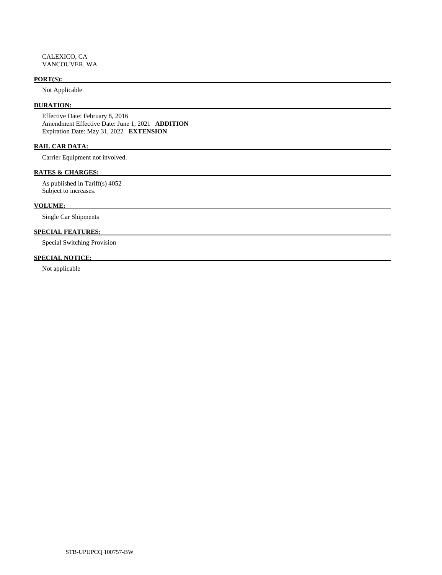#### **PORT(S):**

Not Applicable

# **DURATION:**

 Effective Date: February 8, 2016 Amendment Effective Date: June 1, 2021 **ADDITION**  Expiration Date: May 31, 2022 **EXTENSION** 

# **RAIL CAR DATA:**

Carrier Equipment not involved.

## **RATES & CHARGES:**

 As published in Tariff(s) 4052 Subject to increases.

## **VOLUME:**

Single Car Shipments

# **SPECIAL FEATURES:**

Special Switching Provision

# **SPECIAL NOTICE:**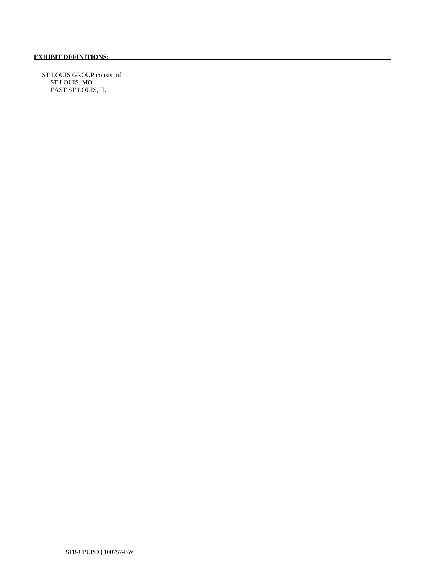ST LOUIS GROUP consist of: ST LOUIS, MO EAST ST LOUIS, IL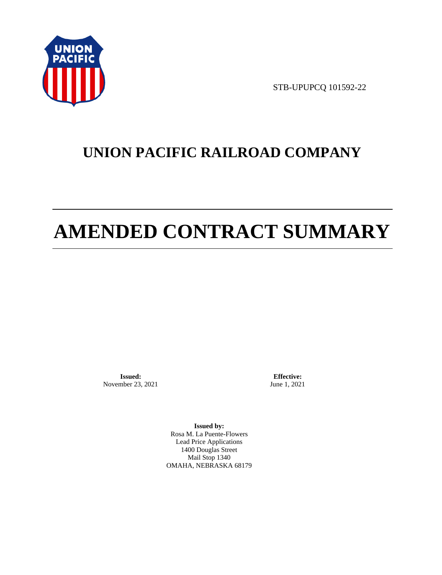

STB-UPUPCQ 101592-22

# **UNION PACIFIC RAILROAD COMPANY**

# **AMENDED CONTRACT SUMMARY**

**Issued:**  November 23, 2021

**Effective:** June 1, 2021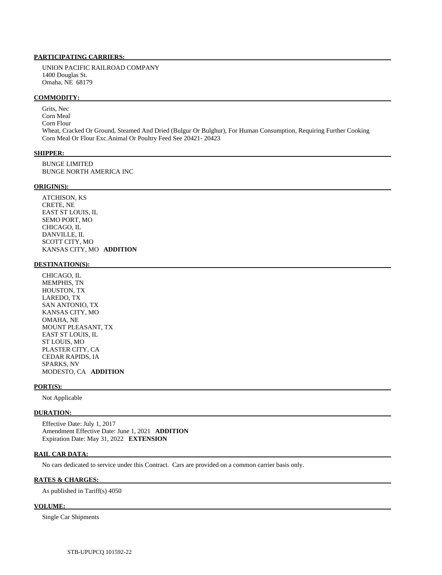UNION PACIFIC RAILROAD COMPANY 1400 Douglas St. Omaha, NE 68179

#### **COMMODITY:**

 Grits, Nec Corn Meal Corn Flour Wheat, Cracked Or Ground, Steamed And Dried (Bulgur Or Bulghur), For Human Consumption, Requiring Further Cooking Corn Meal Or Flour Exc.Animal Or Poultry Feed See 20421- 20423

#### **SHIPPER:**

 BUNGE LIMITED BUNGE NORTH AMERICA INC

#### **ORIGIN(S):**

 ATCHISON, KS CRETE, NE EAST ST LOUIS, IL SEMO PORT, MO CHICAGO, IL DANVILLE, IL SCOTT CITY, MO KANSAS CITY, MO **ADDITION** 

#### **DESTINATION(S):**

 CHICAGO, IL MEMPHIS, TN HOUSTON, TX LAREDO, TX SAN ANTONIO, TX KANSAS CITY, MO OMAHA, NE MOUNT PLEASANT, TX EAST ST LOUIS, IL ST LOUIS, MO PLASTER CITY, CA CEDAR RAPIDS, IA SPARKS, NV MODESTO, CA **ADDITION** 

#### **PORT(S):**

Not Applicable

#### **DURATION:**

 Effective Date: July 1, 2017 Amendment Effective Date: June 1, 2021 **ADDITION**  Expiration Date: May 31, 2022 **EXTENSION** 

#### **RAIL CAR DATA:**

No cars dedicated to service under this Contract. Cars are provided on a common carrier basis only.

#### **RATES & CHARGES:**

As published in Tariff(s) 4050

#### **VOLUME:**

Single Car Shipments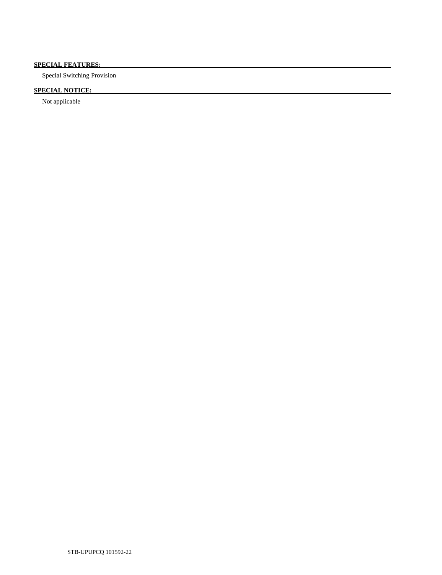# **SPECIAL FEATURES:**

Special Switching Provision

# **SPECIAL NOTICE:**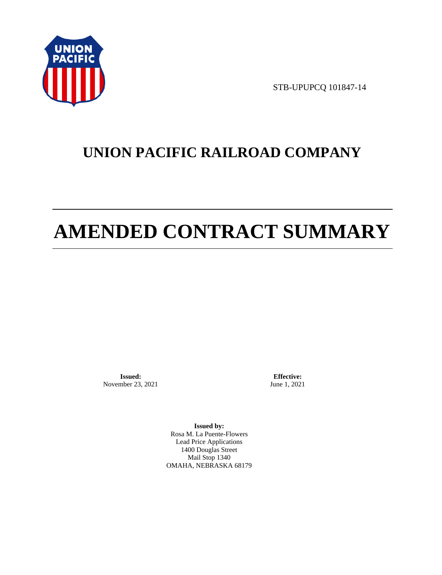

STB-UPUPCQ 101847-14

# **UNION PACIFIC RAILROAD COMPANY**

# **AMENDED CONTRACT SUMMARY**

**Issued:**  November 23, 2021

**Effective:** June 1, 2021